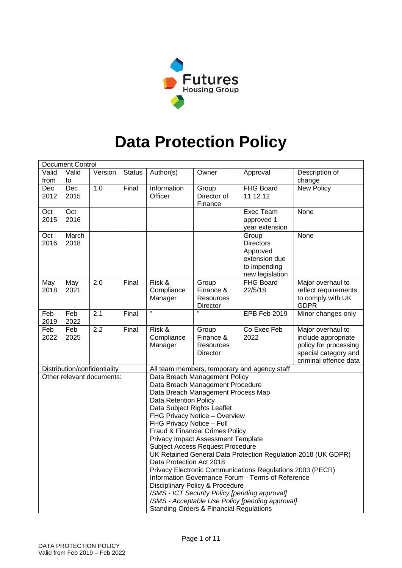

# **Data Protection Policy**

|       | <b>Document Control</b> |                                                           |               |                                                                   |             |                                              |                       |  |  |  |
|-------|-------------------------|-----------------------------------------------------------|---------------|-------------------------------------------------------------------|-------------|----------------------------------------------|-----------------------|--|--|--|
| Valid | Valid                   | Version                                                   | <b>Status</b> | Author(s)                                                         | Owner       | Approval                                     | Description of        |  |  |  |
| from  | to                      |                                                           |               |                                                                   |             |                                              | change                |  |  |  |
| Dec   | Dec                     | 1.0                                                       | Final         | Information                                                       | Group       | FHG Board                                    | New Policy            |  |  |  |
| 2012  | 2015                    |                                                           |               | Officer                                                           | Director of | 11.12.12                                     |                       |  |  |  |
|       |                         |                                                           |               |                                                                   | Finance     |                                              |                       |  |  |  |
| Oct   | Oct                     |                                                           |               |                                                                   |             | Exec Team                                    | None                  |  |  |  |
| 2015  | 2016                    |                                                           |               |                                                                   |             | approved 1                                   |                       |  |  |  |
|       |                         |                                                           |               |                                                                   |             | year extension                               |                       |  |  |  |
| Oct   | March                   |                                                           |               |                                                                   |             | Group                                        | None                  |  |  |  |
| 2016  | 2018                    |                                                           |               |                                                                   |             | <b>Directors</b>                             |                       |  |  |  |
|       |                         |                                                           |               |                                                                   |             | Approved<br>extension due                    |                       |  |  |  |
|       |                         |                                                           |               |                                                                   |             | to impending                                 |                       |  |  |  |
|       |                         |                                                           |               |                                                                   |             | new legislation                              |                       |  |  |  |
| May   | May                     | 2.0                                                       | Final         | Risk &                                                            | Group       | FHG Board                                    | Major overhaul to     |  |  |  |
| 2018  | 2021                    |                                                           |               | Compliance                                                        | Finance &   | 22/5/18                                      | reflect requirements  |  |  |  |
|       |                         |                                                           |               | Manager                                                           | Resources   |                                              | to comply with UK     |  |  |  |
|       |                         |                                                           |               |                                                                   | Director    |                                              | <b>GDPR</b>           |  |  |  |
| Feb   | Feb                     | 2.1                                                       | Final         | $\mathbf{g}$                                                      | $\alpha$    | EPB Feb 2019                                 | Minor changes only    |  |  |  |
| 2019  | 2022                    |                                                           |               |                                                                   |             |                                              |                       |  |  |  |
| Feb   | Feb                     | 2.2                                                       | Final         | Risk &                                                            | Group       | Co Exec Feb                                  | Major overhaul to     |  |  |  |
| 2022  | 2025                    |                                                           |               | Compliance                                                        | Finance &   | 2022                                         | include appropriate   |  |  |  |
|       |                         |                                                           |               | Manager                                                           | Resources   |                                              | policy for processing |  |  |  |
|       |                         |                                                           |               |                                                                   | Director    |                                              | special category and  |  |  |  |
|       |                         |                                                           |               |                                                                   |             |                                              | criminal offence data |  |  |  |
|       |                         | Distribution/confidentiality<br>Other relevant documents: |               |                                                                   |             | All team members, temporary and agency staff |                       |  |  |  |
|       |                         |                                                           |               | Data Breach Management Policy<br>Data Breach Management Procedure |             |                                              |                       |  |  |  |
|       |                         |                                                           |               | Data Breach Management Process Map                                |             |                                              |                       |  |  |  |
|       |                         |                                                           |               | <b>Data Retention Policy</b>                                      |             |                                              |                       |  |  |  |
|       |                         |                                                           |               | Data Subject Rights Leaflet                                       |             |                                              |                       |  |  |  |
|       |                         |                                                           |               | FHG Privacy Notice - Overview                                     |             |                                              |                       |  |  |  |
|       |                         |                                                           |               | FHG Privacy Notice - Full                                         |             |                                              |                       |  |  |  |
|       |                         |                                                           |               | Fraud & Financial Crimes Policy                                   |             |                                              |                       |  |  |  |
|       |                         |                                                           |               | <b>Privacy Impact Assessment Template</b>                         |             |                                              |                       |  |  |  |
|       |                         |                                                           |               | <b>Subject Access Request Procedure</b>                           |             |                                              |                       |  |  |  |
|       |                         |                                                           |               | UK Retained General Data Protection Regulation 2018 (UK GDPR)     |             |                                              |                       |  |  |  |
|       |                         |                                                           |               | Data Protection Act 2018                                          |             |                                              |                       |  |  |  |
|       |                         |                                                           |               | Privacy Electronic Communications Regulations 2003 (PECR)         |             |                                              |                       |  |  |  |
|       |                         |                                                           |               | Information Governance Forum - Terms of Reference                 |             |                                              |                       |  |  |  |
|       |                         |                                                           |               | Disciplinary Policy & Procedure                                   |             |                                              |                       |  |  |  |
|       |                         |                                                           |               | ISMS - ICT Security Policy [pending approval]                     |             |                                              |                       |  |  |  |
|       |                         |                                                           |               | ISMS - Acceptable Use Policy [pending approval]                   |             |                                              |                       |  |  |  |
|       |                         |                                                           |               | <b>Standing Orders &amp; Financial Regulations</b>                |             |                                              |                       |  |  |  |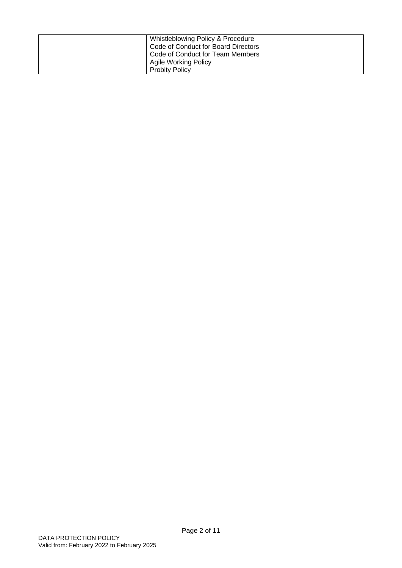| Whistleblowing Policy & Procedure<br>Code of Conduct for Board Directors<br>Code of Conduct for Team Members<br>Agile Working Policy |
|--------------------------------------------------------------------------------------------------------------------------------------|
| <b>Probity Policy</b>                                                                                                                |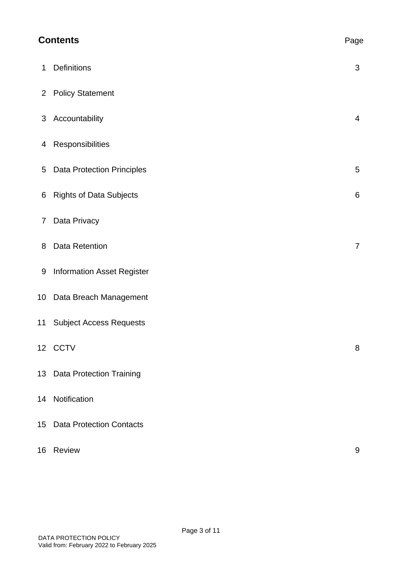| <b>Contents</b> |                                   |                |  |
|-----------------|-----------------------------------|----------------|--|
| 1               | Definitions                       | $\mathfrak{S}$ |  |
| $\overline{2}$  | <b>Policy Statement</b>           |                |  |
| 3               | Accountability                    | $\overline{4}$ |  |
| 4               | Responsibilities                  |                |  |
| 5               | <b>Data Protection Principles</b> | 5              |  |
| 6               | <b>Rights of Data Subjects</b>    | 6              |  |
| 7               | Data Privacy                      |                |  |
| 8               | Data Retention                    | $\overline{7}$ |  |
| 9               | <b>Information Asset Register</b> |                |  |
| 10              | Data Breach Management            |                |  |
| 11              | <b>Subject Access Requests</b>    |                |  |
|                 | 12 CCTV                           | 8              |  |
|                 | 13 Data Protection Training       |                |  |
|                 | 14 Notification                   |                |  |
|                 | 15 Data Protection Contacts       |                |  |
| 16              | Review                            | 9              |  |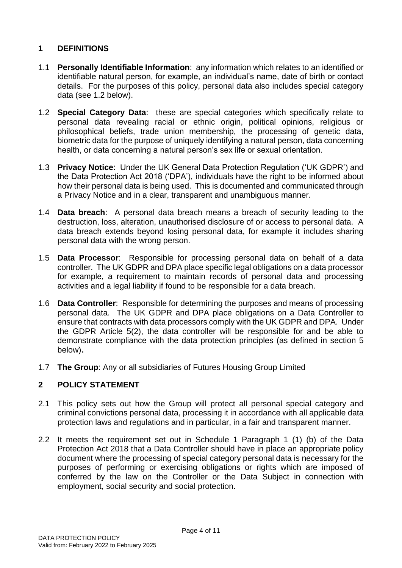## **1 DEFINITIONS**

- 1.1 **Personally Identifiable Information**: any information which relates to an identified or identifiable natural person, for example, an individual's name, date of birth or contact details. For the purposes of this policy, personal data also includes special category data (see 1.2 below).
- 1.2 **Special Category Data**: these are special categories which specifically relate to personal data revealing racial or ethnic origin, political opinions, religious or philosophical beliefs, trade union membership, the processing of genetic data, biometric data for the purpose of uniquely identifying a natural person, data concerning health, or data concerning a natural person's sex life or sexual orientation.
- 1.3 **Privacy Notice**: Under the UK General Data Protection Regulation ('UK GDPR') and the Data Protection Act 2018 ('DPA'), individuals have the right to be informed about how their personal data is being used. This is documented and communicated through a Privacy Notice and in a clear, transparent and unambiguous manner.
- 1.4 **Data breach**: A personal data breach means a breach of security leading to the destruction, loss, alteration, unauthorised disclosure of or access to personal data. A data breach extends beyond losing personal data, for example it includes sharing personal data with the wrong person.
- 1.5 **Data Processor**: Responsible for processing personal data on behalf of a data controller. The UK GDPR and DPA place specific legal obligations on a data processor for example, a requirement to maintain records of personal data and processing activities and a legal liability if found to be responsible for a data breach.
- 1.6 **Data Controller**: Responsible for determining the purposes and means of processing personal data. The UK GDPR and DPA place obligations on a Data Controller to ensure that contracts with data processors comply with the UK GDPR and DPA. Under the GDPR Article 5(2), the data controller will be responsible for and be able to demonstrate compliance with the data protection principles (as defined in section 5 below).
- 1.7 **The Group**: Any or all subsidiaries of Futures Housing Group Limited

## **2 POLICY STATEMENT**

- 2.1 This policy sets out how the Group will protect all personal special category and criminal convictions personal data, processing it in accordance with all applicable data protection laws and regulations and in particular, in a fair and transparent manner.
- 2.2 It meets the requirement set out in Schedule 1 Paragraph 1 (1) (b) of the Data Protection Act 2018 that a Data Controller should have in place an appropriate policy document where the processing of special category personal data is necessary for the purposes of performing or exercising obligations or rights which are imposed of conferred by the law on the Controller or the Data Subject in connection with employment, social security and social protection.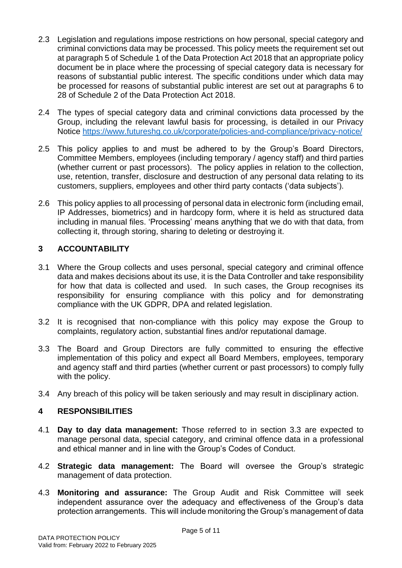- 2.3 Legislation and regulations impose restrictions on how personal, special category and criminal convictions data may be processed. This policy meets the requirement set out at paragraph 5 of Schedule 1 of the Data Protection Act 2018 that an appropriate policy document be in place where the processing of special category data is necessary for reasons of substantial public interest. The specific conditions under which data may be processed for reasons of substantial public interest are set out at paragraphs 6 to 28 of Schedule 2 of the Data Protection Act 2018.
- 2.4 The types of special category data and criminal convictions data processed by the Group, including the relevant lawful basis for processing, is detailed in our Privacy Notice<https://www.futureshg.co.uk/corporate/policies-and-compliance/privacy-notice/>
- 2.5 This policy applies to and must be adhered to by the Group's Board Directors, Committee Members, employees (including temporary / agency staff) and third parties (whether current or past processors). The policy applies in relation to the collection, use, retention, transfer, disclosure and destruction of any personal data relating to its customers, suppliers, employees and other third party contacts ('data subjects').
- 2.6 This policy applies to all processing of personal data in electronic form (including email, IP Addresses, biometrics) and in hardcopy form, where it is held as structured data including in manual files. 'Processing' means anything that we do with that data, from collecting it, through storing, sharing to deleting or destroying it.

## **3 ACCOUNTABILITY**

- 3.1 Where the Group collects and uses personal, special category and criminal offence data and makes decisions about its use, it is the Data Controller and take responsibility for how that data is collected and used. In such cases, the Group recognises its responsibility for ensuring compliance with this policy and for demonstrating compliance with the UK GDPR, DPA and related legislation.
- 3.2 It is recognised that non-compliance with this policy may expose the Group to complaints, regulatory action, substantial fines and/or reputational damage.
- 3.3 The Board and Group Directors are fully committed to ensuring the effective implementation of this policy and expect all Board Members, employees, temporary and agency staff and third parties (whether current or past processors) to comply fully with the policy.
- 3.4 Any breach of this policy will be taken seriously and may result in disciplinary action.

## **4 RESPONSIBILITIES**

- 4.1 **Day to day data management:** Those referred to in section 3.3 are expected to manage personal data, special category, and criminal offence data in a professional and ethical manner and in line with the Group's Codes of Conduct.
- 4.2 **Strategic data management:** The Board will oversee the Group's strategic management of data protection.
- 4.3 **Monitoring and assurance:** The Group Audit and Risk Committee will seek independent assurance over the adequacy and effectiveness of the Group's data protection arrangements. This will include monitoring the Group's management of data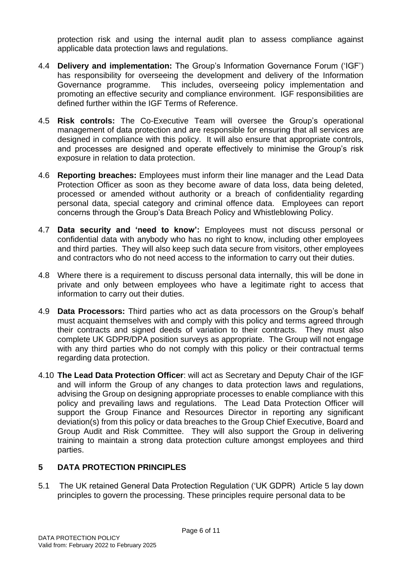protection risk and using the internal audit plan to assess compliance against applicable data protection laws and regulations.

- 4.4 **Delivery and implementation:** The Group's Information Governance Forum ('IGF') has responsibility for overseeing the development and delivery of the Information Governance programme. This includes, overseeing policy implementation and promoting an effective security and compliance environment. IGF responsibilities are defined further within the IGF Terms of Reference.
- 4.5 **Risk controls:** The Co-Executive Team will oversee the Group's operational management of data protection and are responsible for ensuring that all services are designed in compliance with this policy. It will also ensure that appropriate controls, and processes are designed and operate effectively to minimise the Group's risk exposure in relation to data protection.
- 4.6 **Reporting breaches:** Employees must inform their line manager and the Lead Data Protection Officer as soon as they become aware of data loss, data being deleted, processed or amended without authority or a breach of confidentiality regarding personal data, special category and criminal offence data. Employees can report concerns through the Group's Data Breach Policy and Whistleblowing Policy.
- 4.7 **Data security and 'need to know':** Employees must not discuss personal or confidential data with anybody who has no right to know, including other employees and third parties. They will also keep such data secure from visitors, other employees and contractors who do not need access to the information to carry out their duties.
- 4.8 Where there is a requirement to discuss personal data internally, this will be done in private and only between employees who have a legitimate right to access that information to carry out their duties.
- 4.9 **Data Processors:** Third parties who act as data processors on the Group's behalf must acquaint themselves with and comply with this policy and terms agreed through their contracts and signed deeds of variation to their contracts. They must also complete UK GDPR/DPA position surveys as appropriate. The Group will not engage with any third parties who do not comply with this policy or their contractual terms regarding data protection.
- 4.10 **The Lead Data Protection Officer**: will act as Secretary and Deputy Chair of the IGF and will inform the Group of any changes to data protection laws and regulations, advising the Group on designing appropriate processes to enable compliance with this policy and prevailing laws and regulations. The Lead Data Protection Officer will support the Group Finance and Resources Director in reporting any significant deviation(s) from this policy or data breaches to the Group Chief Executive, Board and Group Audit and Risk Committee. They will also support the Group in delivering training to maintain a strong data protection culture amongst employees and third parties.

## **5 DATA PROTECTION PRINCIPLES**

5.1 The UK retained General Data Protection Regulation ('UK GDPR) Article 5 lay down principles to govern the processing. These principles require personal data to be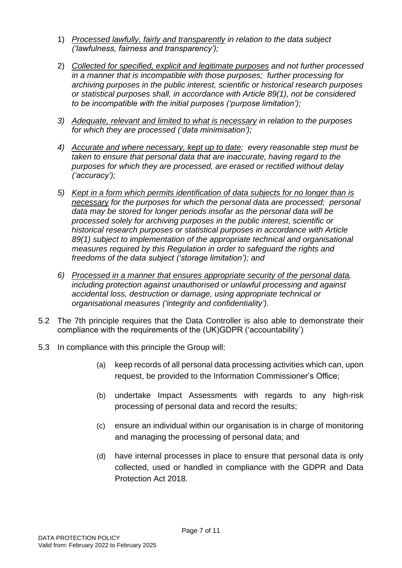- 1) *Processed lawfully, fairly and transparently in relation to the data subject ('lawfulness, fairness and transparency');*
- 2) *Collected for specified, explicit and legitimate purposes and not further processed in a manner that is incompatible with those purposes; further processing for archiving purposes in the public interest, scientific or historical research purposes or statistical purposes shall, in accordance with Article 89(1), not be considered to be incompatible with the initial purposes ('purpose limitation');*
- *3) Adequate, relevant and limited to what is necessary in relation to the purposes for which they are processed ('data minimisation');*
- *4) Accurate and where necessary, kept up to date; every reasonable step must be taken to ensure that personal data that are inaccurate, having regard to the purposes for which they are processed, are erased or rectified without delay ('accuracy');*
- *5) Kept in a form which permits identification of data subjects for no longer than is necessary for the purposes for which the personal data are processed; personal data may be stored for longer periods insofar as the personal data will be processed solely for archiving purposes in the public interest, scientific or historical research purposes or statistical purposes in accordance with Article 89(1) subject to implementation of the appropriate technical and organisational measures required by this Regulation in order to safeguard the rights and freedoms of the data subject ('storage limitation'); and*
- *6) Processed in a manner that ensures appropriate security of the personal data, including protection against unauthorised or unlawful processing and against accidental loss, destruction or damage, using appropriate technical or organisational measures ('integrity and confidentiality').*
- 5.2 The 7th principle requires that the Data Controller is also able to demonstrate their compliance with the requirements of the (UK)GDPR ('accountability')
- 5.3 In compliance with this principle the Group will:
	- (a) keep records of all personal data processing activities which can, upon request, be provided to the Information Commissioner's Office;
	- (b) undertake Impact Assessments with regards to any high-risk processing of personal data and record the results;
	- (c) ensure an individual within our organisation is in charge of monitoring and managing the processing of personal data; and
	- (d) have internal processes in place to ensure that personal data is only collected, used or handled in compliance with the GDPR and Data Protection Act 2018.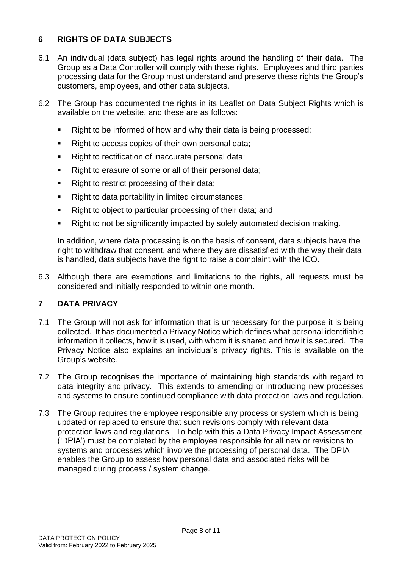# **6 RIGHTS OF DATA SUBJECTS**

- 6.1 An individual (data subject) has legal rights around the handling of their data. The Group as a Data Controller will comply with these rights. Employees and third parties processing data for the Group must understand and preserve these rights the Group's customers, employees, and other data subjects.
- 6.2 The Group has documented the rights in its Leaflet on Data Subject Rights which is available on the website, and these are as follows:
	- Right to be informed of how and why their data is being processed;
	- Right to access copies of their own personal data;
	- Right to rectification of inaccurate personal data;
	- Right to erasure of some or all of their personal data;
	- Right to restrict processing of their data;
	- Right to data portability in limited circumstances;
	- Right to object to particular processing of their data; and
	- Right to not be significantly impacted by solely automated decision making.

In addition, where data processing is on the basis of consent, data subjects have the right to withdraw that consent, and where they are dissatisfied with the way their data is handled, data subjects have the right to raise a complaint with the ICO.

6.3 Although there are exemptions and limitations to the rights, all requests must be considered and initially responded to within one month.

## **7 DATA PRIVACY**

- 7.1 The Group will not ask for information that is unnecessary for the purpose it is being collected. It has documented a Privacy Notice which defines what personal identifiable information it collects, how it is used, with whom it is shared and how it is secured. The Privacy Notice also explains an individual's privacy rights. This is available on the Group's website.
- 7.2 The Group recognises the importance of maintaining high standards with regard to data integrity and privacy. This extends to amending or introducing new processes and systems to ensure continued compliance with data protection laws and regulation.
- 7.3 The Group requires the employee responsible any process or system which is being updated or replaced to ensure that such revisions comply with relevant data protection laws and regulations. To help with this a Data Privacy Impact Assessment ('DPIA') must be completed by the employee responsible for all new or revisions to systems and processes which involve the processing of personal data. The DPIA enables the Group to assess how personal data and associated risks will be managed during process / system change.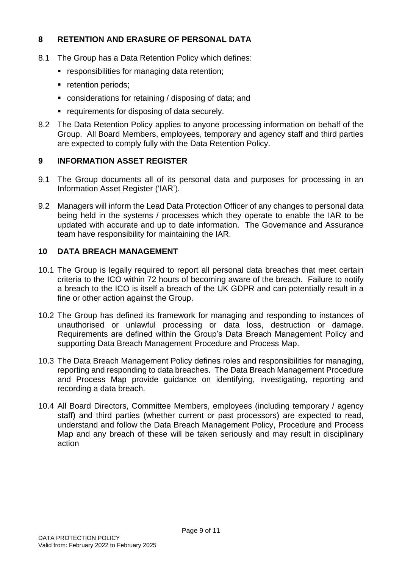## **8 RETENTION AND ERASURE OF PERSONAL DATA**

- 8.1 The Group has a Data Retention Policy which defines:
	- responsibilities for managing data retention;
	- **•** retention periods;
	- considerations for retaining / disposing of data; and
	- requirements for disposing of data securely.
- 8.2 The Data Retention Policy applies to anyone processing information on behalf of the Group. All Board Members, employees, temporary and agency staff and third parties are expected to comply fully with the Data Retention Policy.

## **9 INFORMATION ASSET REGISTER**

- 9.1 The Group documents all of its personal data and purposes for processing in an Information Asset Register ('IAR').
- 9.2 Managers will inform the Lead Data Protection Officer of any changes to personal data being held in the systems / processes which they operate to enable the IAR to be updated with accurate and up to date information. The Governance and Assurance team have responsibility for maintaining the IAR.

## **10 DATA BREACH MANAGEMENT**

- 10.1 The Group is legally required to report all personal data breaches that meet certain criteria to the ICO within 72 hours of becoming aware of the breach. Failure to notify a breach to the ICO is itself a breach of the UK GDPR and can potentially result in a fine or other action against the Group.
- 10.2 The Group has defined its framework for managing and responding to instances of unauthorised or unlawful processing or data loss, destruction or damage. Requirements are defined within the Group's Data Breach Management Policy and supporting Data Breach Management Procedure and Process Map.
- 10.3 The Data Breach Management Policy defines roles and responsibilities for managing, reporting and responding to data breaches. The Data Breach Management Procedure and Process Map provide guidance on identifying, investigating, reporting and recording a data breach.
- 10.4 All Board Directors, Committee Members, employees (including temporary / agency staff) and third parties (whether current or past processors) are expected to read, understand and follow the Data Breach Management Policy, Procedure and Process Map and any breach of these will be taken seriously and may result in disciplinary action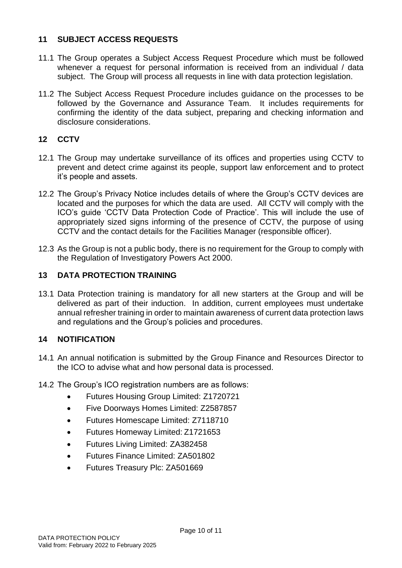## **11 SUBJECT ACCESS REQUESTS**

- 11.1 The Group operates a Subject Access Request Procedure which must be followed whenever a request for personal information is received from an individual / data subject. The Group will process all requests in line with data protection legislation.
- 11.2 The Subject Access Request Procedure includes guidance on the processes to be followed by the Governance and Assurance Team. It includes requirements for confirming the identity of the data subject, preparing and checking information and disclosure considerations.

# **12 CCTV**

- 12.1 The Group may undertake surveillance of its offices and properties using CCTV to prevent and detect crime against its people, support law enforcement and to protect it's people and assets.
- 12.2 The Group's Privacy Notice includes details of where the Group's CCTV devices are located and the purposes for which the data are used. All CCTV will comply with the ICO's guide 'CCTV Data Protection Code of Practice'. This will include the use of appropriately sized signs informing of the presence of CCTV, the purpose of using CCTV and the contact details for the Facilities Manager (responsible officer).
- 12.3 As the Group is not a public body, there is no requirement for the Group to comply with the Regulation of Investigatory Powers Act 2000.

## **13 DATA PROTECTION TRAINING**

13.1 Data Protection training is mandatory for all new starters at the Group and will be delivered as part of their induction. In addition, current employees must undertake annual refresher training in order to maintain awareness of current data protection laws and regulations and the Group's policies and procedures.

## **14 NOTIFICATION**

- 14.1 An annual notification is submitted by the Group Finance and Resources Director to the ICO to advise what and how personal data is processed.
- 14.2 The Group's ICO registration numbers are as follows:
	- Futures Housing Group Limited: Z1720721
	- Five Doorways Homes Limited: Z2587857
	- Futures Homescape Limited: Z7118710
	- Futures Homeway Limited: Z1721653
	- Futures Living Limited: ZA382458
	- Futures Finance Limited: ZA501802
	- Futures Treasury Plc: ZA501669